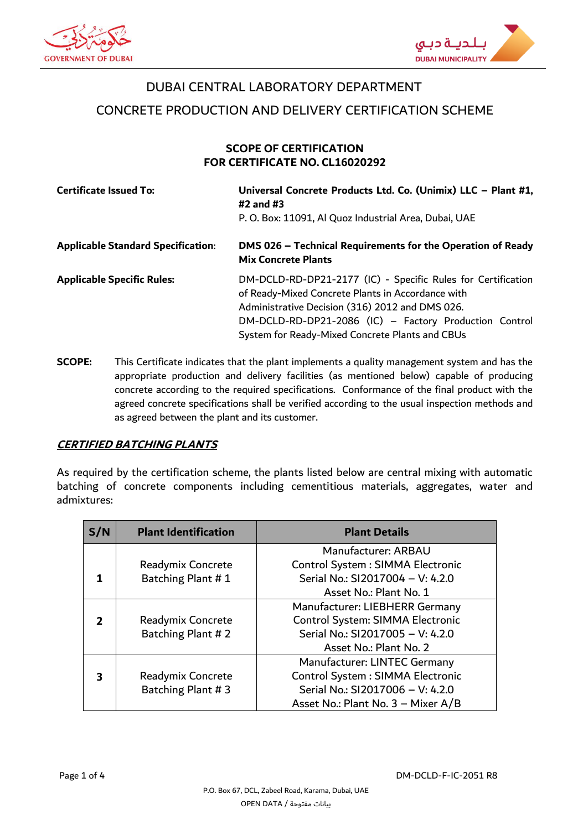



## DUBAI CENTRAL LABORATORY DEPARTMENT

CONCRETE PRODUCTION AND DELIVERY CERTIFICATION SCHEME

## **SCOPE OF CERTIFICATION FOR CERTIFICATE NO. CL16020292**

| <b>Certificate Issued To:</b>             | Universal Concrete Products Ltd. Co. (Unimix) LLC - Plant #1,<br>$\#2$ and $\#3$<br>P. O. Box: 11091, Al Quoz Industrial Area, Dubai, UAE                                                                                                                                         |
|-------------------------------------------|-----------------------------------------------------------------------------------------------------------------------------------------------------------------------------------------------------------------------------------------------------------------------------------|
| <b>Applicable Standard Specification:</b> | DMS 026 - Technical Requirements for the Operation of Ready<br><b>Mix Concrete Plants</b>                                                                                                                                                                                         |
| <b>Applicable Specific Rules:</b>         | DM-DCLD-RD-DP21-2177 (IC) - Specific Rules for Certification<br>of Ready-Mixed Concrete Plants in Accordance with<br>Administrative Decision (316) 2012 and DMS 026.<br>DM-DCLD-RD-DP21-2086 (IC) - Factory Production Control<br>System for Ready-Mixed Concrete Plants and CBUs |

**SCOPE:** This Certificate indicates that the plant implements a quality management system and has the appropriate production and delivery facilities (as mentioned below) capable of producing concrete according to the required specifications. Conformance of the final product with the agreed concrete specifications shall be verified according to the usual inspection methods and as agreed between the plant and its customer.

## **CERTIFIED BATCHING PLANTS**

As required by the certification scheme, the plants listed below are central mixing with automatic batching of concrete components including cementitious materials, aggregates, water and admixtures:

| S/N            | <b>Plant Identification</b> | <b>Plant Details</b>               |  |
|----------------|-----------------------------|------------------------------------|--|
|                |                             | Manufacturer: ARBAU                |  |
|                | Readymix Concrete           | Control System: SIMMA Electronic   |  |
|                | Batching Plant #1           | Serial No.: SI2017004 - V: 4.2.0   |  |
|                |                             | Asset No.: Plant No. 1             |  |
|                |                             | Manufacturer: LIEBHERR Germany     |  |
| $\overline{2}$ | Readymix Concrete           | Control System: SIMMA Electronic   |  |
|                | Batching Plant #2           | Serial No.: SI2017005 - V: 4.2.0   |  |
|                |                             | Asset No.: Plant No. 2             |  |
|                |                             | Manufacturer: LINTEC Germany       |  |
| 3              | Readymix Concrete           | Control System: SIMMA Electronic   |  |
|                | Batching Plant #3           | Serial No.: SI2017006 - V: 4.2.0   |  |
|                |                             | Asset No.: Plant No. 3 - Mixer A/B |  |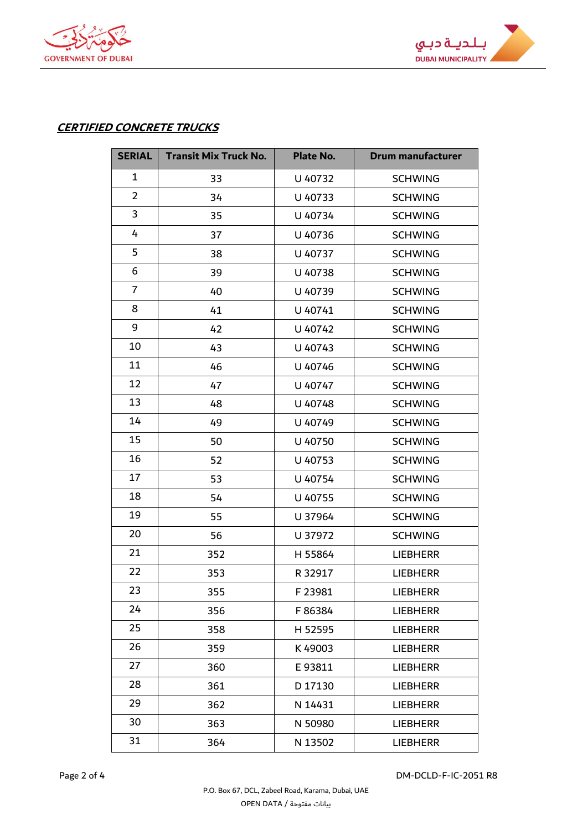



## **CERTIFIED CONCRETE TRUCKS**

| <b>SERIAL</b>  | <b>Transit Mix Truck No.</b> | Plate No. | <b>Drum manufacturer</b> |
|----------------|------------------------------|-----------|--------------------------|
| $\mathbf{1}$   | 33                           | U 40732   | <b>SCHWING</b>           |
| $\overline{2}$ | 34                           | U 40733   | <b>SCHWING</b>           |
| 3              | 35                           | U 40734   | <b>SCHWING</b>           |
| 4              | 37                           | U 40736   | <b>SCHWING</b>           |
| 5              | 38                           | U 40737   | <b>SCHWING</b>           |
| 6              | 39                           | U 40738   | <b>SCHWING</b>           |
| $\overline{7}$ | 40                           | U 40739   | <b>SCHWING</b>           |
| 8              | 41                           | U 40741   | <b>SCHWING</b>           |
| 9              | 42                           | U 40742   | <b>SCHWING</b>           |
| 10             | 43                           | U 40743   | <b>SCHWING</b>           |
| 11             | 46                           | U 40746   | <b>SCHWING</b>           |
| 12             | 47                           | U 40747   | <b>SCHWING</b>           |
| 13             | 48                           | U 40748   | <b>SCHWING</b>           |
| 14             | 49                           | U 40749   | <b>SCHWING</b>           |
| 15             | 50                           | U 40750   | <b>SCHWING</b>           |
| 16             | 52                           | U 40753   | <b>SCHWING</b>           |
| 17             | 53                           | U 40754   | <b>SCHWING</b>           |
| 18             | 54                           | U 40755   | <b>SCHWING</b>           |
| 19             | 55                           | U 37964   | <b>SCHWING</b>           |
| 20             | 56                           | U 37972   | <b>SCHWING</b>           |
| 21             | 352                          | H 55864   | <b>LIEBHERR</b>          |
| 22             | 353                          | R 32917   | <b>LIEBHERR</b>          |
| 23             | 355                          | F 23981   | LIEBHERR                 |
| 24             | 356                          | F86384    | <b>LIEBHERR</b>          |
| 25             | 358                          | H 52595   | <b>LIEBHERR</b>          |
| 26             | 359                          | K49003    | <b>LIEBHERR</b>          |
| 27             | 360                          | E93811    | <b>LIEBHERR</b>          |
| 28             | 361                          | D 17130   | <b>LIEBHERR</b>          |
| 29             | 362                          | N 14431   | <b>LIEBHERR</b>          |
| 30             | 363                          | N 50980   | <b>LIEBHERR</b>          |
| 31             | 364                          | N 13502   | <b>LIEBHERR</b>          |

Page 2 of 4 DM-DCLD-F-IC-2051 R8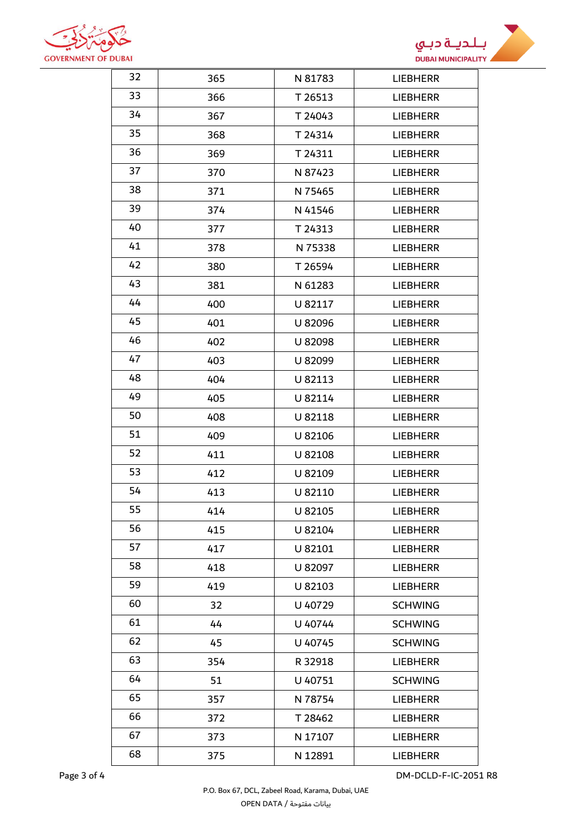



| <b>DUBAI</b> |     |         | <b>DUBAI MUNICIPALIT</b> |
|--------------|-----|---------|--------------------------|
| 32           | 365 | N 81783 | <b>LIEBHERR</b>          |
| 33           | 366 | T 26513 | <b>LIEBHERR</b>          |
| 34           | 367 | T 24043 | <b>LIEBHERR</b>          |
| 35           | 368 | T 24314 | <b>LIEBHERR</b>          |
| 36           | 369 | T 24311 | <b>LIEBHERR</b>          |
| 37           | 370 | N 87423 | <b>LIEBHERR</b>          |
| 38           | 371 | N 75465 | <b>LIEBHERR</b>          |
| 39           | 374 | N 41546 | <b>LIEBHERR</b>          |
| 40           | 377 | T 24313 | <b>LIEBHERR</b>          |
| 41           | 378 | N 75338 | <b>LIEBHERR</b>          |
| 42           | 380 | T 26594 | <b>LIEBHERR</b>          |
| 43           | 381 | N 61283 | <b>LIEBHERR</b>          |
| 44           | 400 | U 82117 | <b>LIEBHERR</b>          |
| 45           | 401 | U 82096 | <b>LIEBHERR</b>          |
| 46           | 402 | U 82098 | <b>LIEBHERR</b>          |
| 47           | 403 | U 82099 | <b>LIEBHERR</b>          |
| 48           | 404 | U 82113 | <b>LIEBHERR</b>          |
| 49           | 405 | U 82114 | <b>LIEBHERR</b>          |
| 50           | 408 | U 82118 | <b>LIEBHERR</b>          |
| 51           | 409 | U 82106 | <b>LIEBHERR</b>          |
| 52           | 411 | U 82108 | <b>LIEBHERR</b>          |
| 53           | 412 | U 82109 | <b>LIEBHERR</b>          |
| 54           | 413 | U 82110 | LIEBHERR                 |
| 55           | 414 | U 82105 | <b>LIEBHERR</b>          |
| 56           | 415 | U 82104 | <b>LIEBHERR</b>          |
| 57           | 417 | U 82101 | <b>LIEBHERR</b>          |
| 58           | 418 | U 82097 | <b>LIEBHERR</b>          |
| 59           | 419 | U 82103 | <b>LIEBHERR</b>          |
| 60           | 32  | U 40729 | <b>SCHWING</b>           |
| 61           | 44  | U 40744 | <b>SCHWING</b>           |
| 62           | 45  | U 40745 | <b>SCHWING</b>           |
| 63           | 354 | R 32918 | <b>LIEBHERR</b>          |
| 64           | 51  | U 40751 | <b>SCHWING</b>           |
| 65           | 357 | N 78754 | <b>LIEBHERR</b>          |
| 66           | 372 | T 28462 | <b>LIEBHERR</b>          |
| 67           | 373 | N 17107 | <b>LIEBHERR</b>          |
| 68           | 375 | N 12891 | <b>LIEBHERR</b>          |

Page 3 of 4 DM-DCLD-F-IC-2051 R8